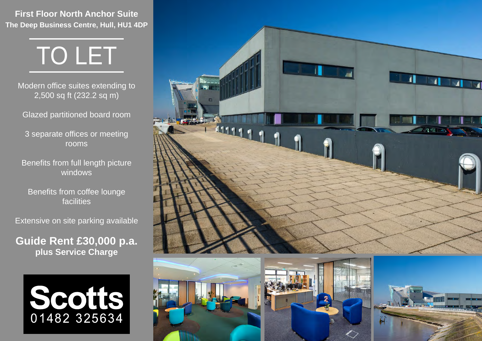**First Floor North Anchor Suite The Deep Business Centre, Hull, HU1 4DP**



Modern office suites extending to 2,500 sq ft (232.2 sq m)

Glazed partitioned board room

3 separate offices or meeting rooms

Benefits from full length picture windows

Benefits from coffee lounge facilities

Extensive on site parking available

**Guide Rent £30,000 p.a. plus Service Charge**